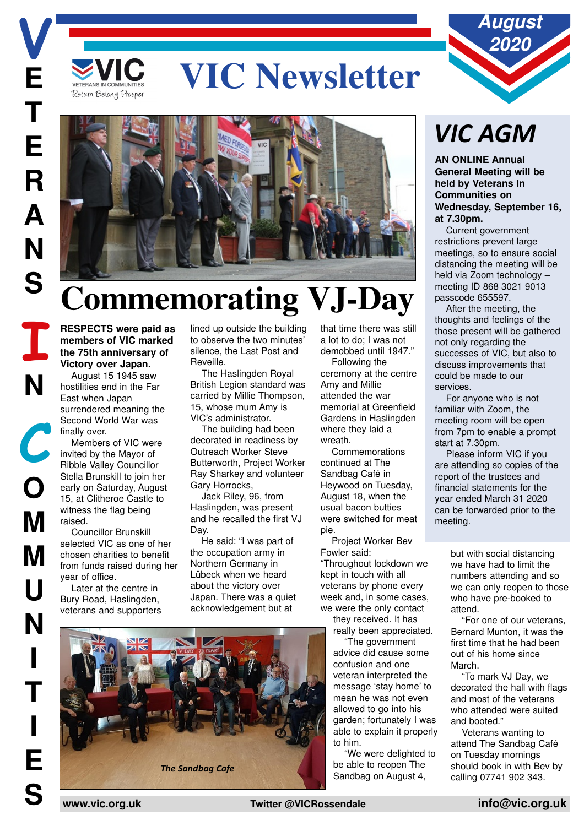# **EXAMS IN COMMUNITIES** VIC Newsletter



## **Commemorating VJ-Day**

**RESPECTS were paid as members of VIC marked the 75th anniversary of Victory over Japan.**

August 15 1945 saw hostilities end in the Far East when Japan surrendered meaning the Second World War was finally over.

Members of VIC were invited by the Mayor of Ribble Valley Councillor Stella Brunskill to join her early on Saturday, August 15, at Clitheroe Castle to witness the flag being raised.

Councillor Brunskill selected VIC as one of her chosen charities to benefit from funds raised during her year of office.

Later at the centre in Bury Road, Haslingden, veterans and supporters

lined up outside the building to observe the two minutes' silence, the Last Post and Reveille.

The Haslingden Royal British Legion standard was carried by Millie Thompson, 15, whose mum Amy is VIC's administrator.

The building had been decorated in readiness by Outreach Worker Steve Butterworth, Project Worker Ray Sharkey and volunteer Gary Horrocks,

Jack Riley, 96, from Haslingden, was present and he recalled the first VJ Day.

He said: "I was part of the occupation army in Northern Germany in Lübeck when we heard about the victory over Japan. There was a quiet acknowledgement but at

that time there was still a lot to do; I was not demobbed until 1947."

Following the ceremony at the centre Amy and Millie attended the war memorial at Greenfield Gardens in Haslingden where they laid a wreath.

Commemorations continued at The Sandbag Café in Heywood on Tuesday, August 18, when the usual bacon butties were switched for meat pie.

Project Worker Bev Fowler said: "Throughout lockdown we kept in touch with all veterans by phone every week and, in some cases, we were the only contact

they received. It has really been appreciated.

"The government advice did cause some confusion and one veteran interpreted the message 'stay home' to mean he was not even allowed to go into his garden; fortunately I was able to explain it properly to him.

"We were delighted to be able to reopen The Sandbag on August 4,



**AN ONLINE Annual General Meeting will be held by Veterans In Communities on Wednesday, September 16, at 7.30pm.**

**August 2020**

Current government restrictions prevent large meetings, so to ensure social distancing the meeting will be held via Zoom technology – meeting ID 868 3021 9013 passcode 655597.

After the meeting, the thoughts and feelings of the those present will be gathered not only regarding the successes of VIC, but also to discuss improvements that could be made to our services.

For anyone who is not familiar with Zoom, the meeting room will be open from 7pm to enable a prompt start at 7.30pm.

Please inform VIC if you are attending so copies of the report of the trustees and financial statements for the year ended March 31 2020 can be forwarded prior to the meeting.

> but with social distancing we have had to limit the numbers attending and so we can only reopen to those who have pre-booked to attend.

"For one of our veterans, Bernard Munton, it was the first time that he had been out of his home since March.

"To mark VJ Day, we decorated the hall with flags and most of the veterans who attended were suited and booted."

Veterans wanting to attend The Sandbag Café on Tuesday mornings should book in with Bev by calling 07741 902 343.

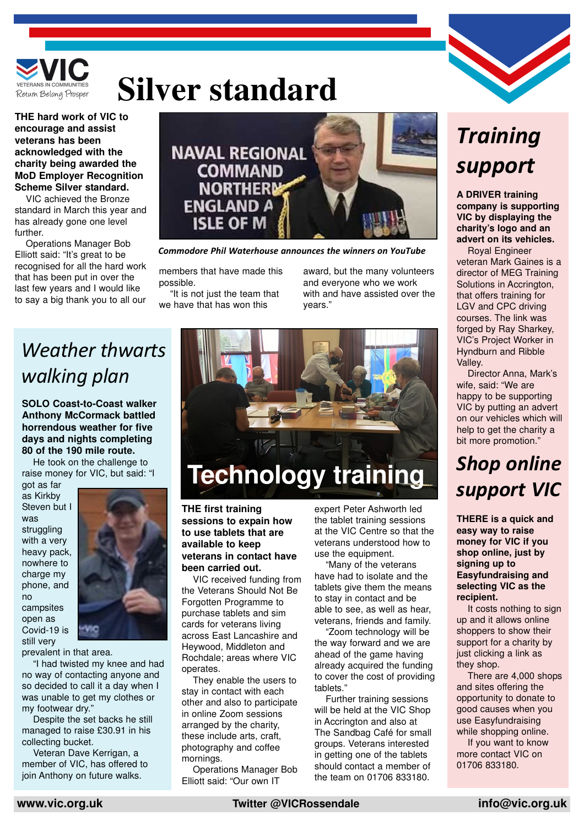

## **Silver standard**

**THE hard work of VIC to encourage and assist veterans has been acknowledged with the charity being awarded the MoD Employer Recognition Scheme Silver standard.**

VIC achieved the Bronze standard in March this year and has already gone one level further.

Operations Manager Bob Elliott said: "It's great to be recognised for all the hard work that has been put in over the last few years and I would like to say a big thank you to all our



*Commodore Phil Waterhouse announces the winners on YouTube*

members that have made this possible.

"It is not just the team that we have that has won this

award, but the many volunteers and everyone who we work with and have assisted over the years."

## *Weather thwarts walking plan*

**SOLO Coast-to-Coast walker Anthony McCormack battled horrendous weather for five days and nights completing 80 of the 190 mile route.**

He took on the challenge to raise money for VIC, but said: "I

got as far as Kirkby Steven but I was struggling with a very heavy pack, nowhere to charge my phone, and no campsites open as Covid-19 is still very



prevalent in that area.

"I had twisted my knee and had no way of contacting anyone and so decided to call it a day when I was unable to get my clothes or my footwear dry."

Despite the set backs he still managed to raise £30.91 in his collecting bucket.

Veteran Dave Kerrigan, a member of VIC, has offered to join Anthony on future walks.



## **Technology training**

**THE first training sessions to expain how to use tablets that are available to keep veterans in contact have been carried out.**

VIC received funding from the Veterans Should Not Be Forgotten Programme to purchase tablets and sim cards for veterans living across East Lancashire and Heywood, Middleton and Rochdale; areas where VIC operates.

They enable the users to stay in contact with each other and also to participate in online Zoom sessions arranged by the charity, these include arts, craft, photography and coffee mornings.

Operations Manager Bob Elliott said: "Our own IT

expert Peter Ashworth led the tablet training sessions at the VIC Centre so that the veterans understood how to use the equipment.

"Many of the veterans have had to isolate and the tablets give them the means to stay in contact and be able to see, as well as hear, veterans, friends and family.

"Zoom technology will be the way forward and we are ahead of the game having already acquired the funding to cover the cost of providing tablets."

Further training sessions will be held at the VIC Shop in Accrington and also at The Sandbag Café for small groups. Veterans interested in getting one of the tablets should contact a member of the team on 01706 833180.

## *Training support*

**A DRIVER training company is supporting VIC by displaying the charity's logo and an advert on its vehicles.**

Royal Engineer veteran Mark Gaines is a director of MEG Training Solutions in Accrington, that offers training for LGV and CPC driving courses. The link was forged by Ray Sharkey, VIC's Project Worker in Hyndburn and Ribble Valley.

Director Anna, Mark's wife, said: "We are happy to be supporting VIC by putting an advert on our vehicles which will help to get the charity a bit more promotion."

### *Shop online support VIC*

**THERE is a quick and easy way to raise money for VIC if you shop online, just by signing up to Easyfundraising and selecting VIC as the recipient.**

It costs nothing to sign up and it allows online shoppers to show their support for a charity by just clicking a link as they shop.

There are 4,000 shops and sites offering the opportunity to donate to good causes when you use Easyfundraising while shopping online.

If you want to know more contact VIC on 01706 833180.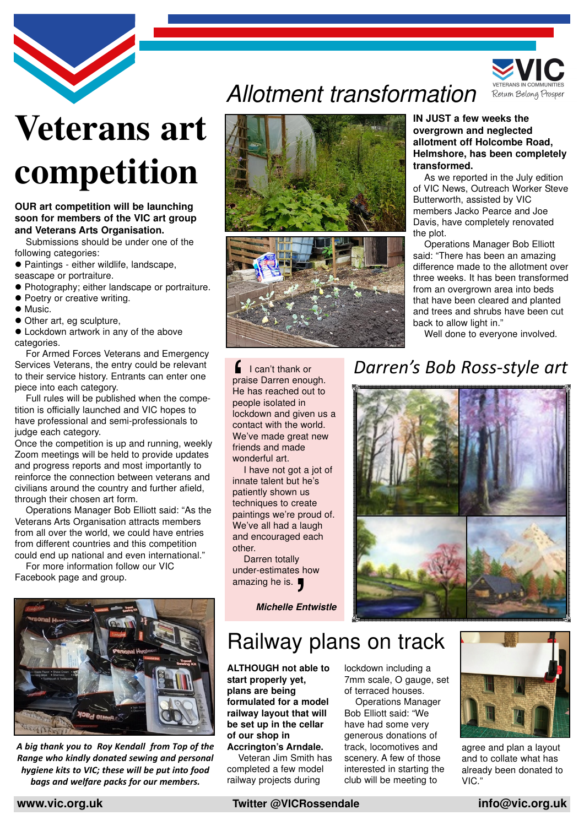

# **Veterans art competition**

#### **OUR art competition will be launching soon for members of the VIC art group and Veterans Arts Organisation.**

Submissions should be under one of the following categories:

- Paintings either wildlife, landscape, seascape or portraiture.
- Photography; either landscape or portraiture.
- Poetry or creative writing.
- $\bullet$  Music.
- $\bullet$  Other art, eg sculpture,
- $\bullet$  Lockdown artwork in any of the above categories.

For Armed Forces Veterans and Emergency Services Veterans, the entry could be relevant to their service history. Entrants can enter one piece into each category.

Full rules will be published when the competition is officially launched and VIC hopes to have professional and semi-professionals to judge each category.

Once the competition is up and running, weekly Zoom meetings will be held to provide updates and progress reports and most importantly to reinforce the connection between veterans and civilians around the country and further afield, through their chosen art form.

Operations Manager Bob Elliott said: "As the Veterans Arts Organisation attracts members from all over the world, we could have entries from different countries and this competition could end up national and even international."

For more information follow our VIC Facebook page and group.



*A big thank you to Roy Kendall from Top of the Range who kindly donated sewing and personal hygiene kits to VIC; these will be put into food bags and welfare packs for our members.*

## Allotment transformation





 $\blacksquare$  I can't thank or praise Darren enough. He has reached out to I can't thank of<br>praise Darren end<br>He has reached c<br>people isolated in<br>lockdown and give

lockdown and given us a contact with the world. We've made great new friends and made wonderful art.

I have not got a jot of innate talent but he's patiently shown us techniques to create paintings we're proud of. We've all had a laugh and encouraged each

other.

Darren totally under-estimates how

**Michelle Entwistle**

#### **IN JUST a few weeks the overgrown and neglected allotment off Holcombe Road, Helmshore, has been completely transformed.**

Return Belong Prosper

As we reported in the July edition of VIC News, Outreach Worker Steve Butterworth, assisted by VIC members Jacko Pearce and Joe Davis, have completely renovated the plot.

Operations Manager Bob Elliott said: "There has been an amazing difference made to the allotment over three weeks. It has been transformed from an overgrown area into beds that have been cleared and planted and trees and shrubs have been cut back to allow light in."

Well done to everyone involved.

### *Darren's Bob Ross-style art*



## Railway plans on track amazing he is. '

**ALTHOUGH not able to start properly yet, plans are being formulated for a model railway layout that will be set up in the cellar of our shop in**

**Accrington's Arndale.** Veteran Jim Smith has completed a few model railway projects during

lockdown including a 7mm scale, O gauge, set of terraced houses.

Operations Manager Bob Elliott said: "We have had some very generous donations of track, locomotives and scenery. A few of those interested in starting the club will be meeting to



agree and plan a layout and to collate what has already been donated to VIC."



**www.vic.org.uk Twitter @VICRossendale info@vic.org.uk**